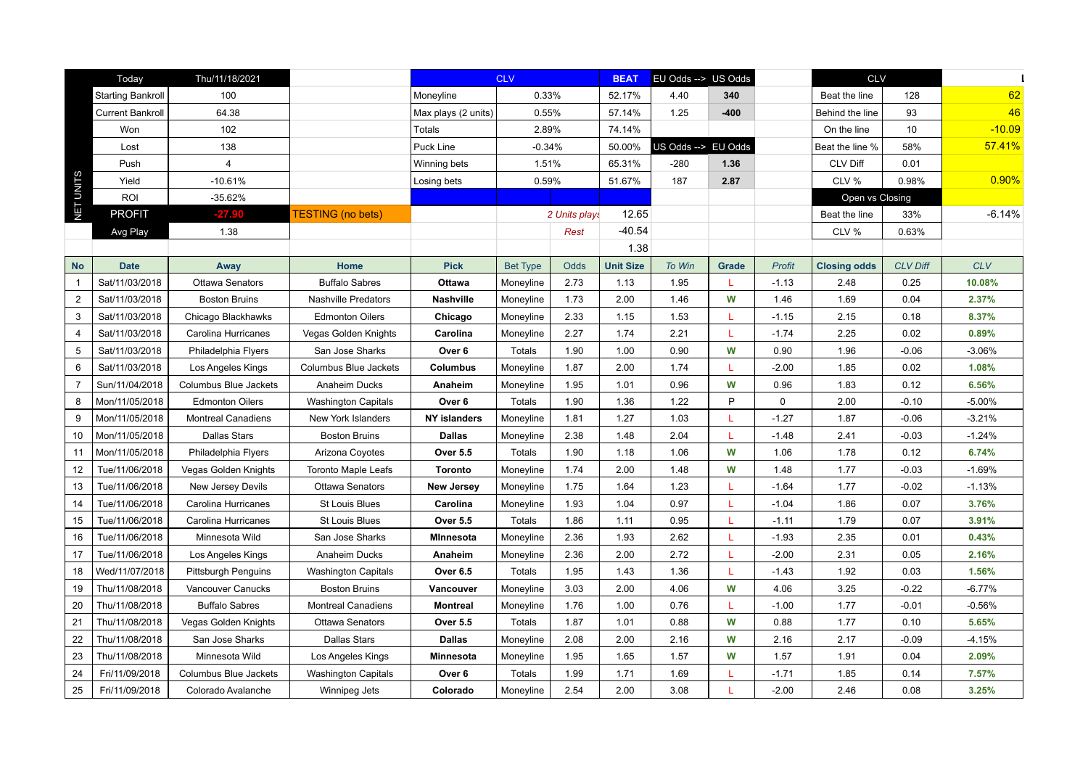|                | Today                    | Thu/11/18/2021               |                            |                     | <b>CLV</b>      |               | <b>BEAT</b>      | EU Odds --> US Odds |        |               |                     | <b>CLV</b>      |            |
|----------------|--------------------------|------------------------------|----------------------------|---------------------|-----------------|---------------|------------------|---------------------|--------|---------------|---------------------|-----------------|------------|
|                | <b>Starting Bankroll</b> | 100                          |                            | Moneyline           | 0.33%           |               | 52.17%           | 4.40                | 340    |               | Beat the line       | 128             | 62         |
|                | <b>Current Bankroll</b>  | 64.38                        |                            | Max plays (2 units) | 0.55%           |               | 57.14%           | 1.25                | $-400$ |               | Behind the line     | 93              | 46         |
|                | Won                      | 102                          |                            | Totals              | 2.89%           |               | 74.14%           |                     |        |               | On the line         | 10              | $-10.09$   |
|                | Lost                     | 138                          |                            | Puck Line           | $-0.34%$        |               | 50.00%           | US Odds --> EU Odds |        |               | Beat the line %     | 58%             | 57.41%     |
|                | Push                     | $\overline{4}$               |                            | Winning bets        | 1.51%           |               | 65.31%           | $-280$              | 1.36   |               | CLV Diff            | 0.01            |            |
|                | Yield                    | $-10.61%$                    |                            | Losing bets         | 0.59%           |               | 51.67%           | 187                 | 2.87   |               | CLV %               | 0.98%           | 0.90%      |
|                | <b>ROI</b>               | -35.62%                      |                            |                     |                 |               |                  |                     |        |               | Open vs Closing     |                 |            |
| NET UNITS      | <b>PROFIT</b>            | $-27.90$                     | <b>TESTING</b> (no bets)   |                     |                 | 2 Units plays | 12.65            |                     |        |               | Beat the line       | 33%             | $-6.14%$   |
|                | Avg Play                 | 1.38                         |                            |                     |                 | Rest          | $-40.54$         |                     |        |               | CLV %               | 0.63%           |            |
|                |                          |                              |                            |                     |                 |               | 1.38             |                     |        |               |                     |                 |            |
| <b>No</b>      | <b>Date</b>              | Away                         | Home                       | <b>Pick</b>         | <b>Bet Type</b> | <b>Odds</b>   | <b>Unit Size</b> | To Win              | Grade  | <b>Profit</b> | <b>Closing odds</b> | <b>CLV Diff</b> | <b>CLV</b> |
| -1             | Sat/11/03/2018           | Ottawa Senators              | <b>Buffalo Sabres</b>      | Ottawa              | Moneyline       | 2.73          | 1.13             | 1.95                | L      | $-1.13$       | 2.48                | 0.25            | 10.08%     |
| 2              | Sat/11/03/2018           | <b>Boston Bruins</b>         | <b>Nashville Predators</b> | <b>Nashville</b>    | Moneyline       | 1.73          | 2.00             | 1.46                | W      | 1.46          | 1.69                | 0.04            | 2.37%      |
| 3              | Sat/11/03/2018           | Chicago Blackhawks           | <b>Edmonton Oilers</b>     | Chicago             | Moneyline       | 2.33          | 1.15             | 1.53                | L      | $-1.15$       | 2.15                | 0.18            | 8.37%      |
| $\overline{4}$ | Sat/11/03/2018           | Carolina Hurricanes          | Vegas Golden Knights       | Carolina            | Moneyline       | 2.27          | 1.74             | 2.21                | T.     | $-1.74$       | 2.25                | 0.02            | 0.89%      |
| 5              | Sat/11/03/2018           | Philadelphia Flyers          | San Jose Sharks            | Over 6              | Totals          | 1.90          | 1.00             | 0.90                | W      | 0.90          | 1.96                | $-0.06$         | $-3.06%$   |
| 6              | Sat/11/03/2018           | Los Angeles Kings            | Columbus Blue Jackets      | Columbus            | Moneyline       | 1.87          | 2.00             | 1.74                | T.     | $-2.00$       | 1.85                | 0.02            | 1.08%      |
|                | Sun/11/04/2018           | <b>Columbus Blue Jackets</b> | Anaheim Ducks              | Anaheim             | Moneyline       | 1.95          | 1.01             | 0.96                | W      | 0.96          | 1.83                | 0.12            | 6.56%      |
| 8              | Mon/11/05/2018           | <b>Edmonton Oilers</b>       | <b>Washington Capitals</b> | Over 6              | Totals          | 1.90          | 1.36             | 1.22                | P      | $\mathbf 0$   | 2.00                | $-0.10$         | $-5.00%$   |
| 9              | Mon/11/05/2018           | <b>Montreal Canadiens</b>    | New York Islanders         | <b>NY islanders</b> | Moneyline       | 1.81          | 1.27             | 1.03                | т      | $-1.27$       | 1.87                | $-0.06$         | $-3.21%$   |
| 10             | Mon/11/05/2018           | <b>Dallas Stars</b>          | <b>Boston Bruins</b>       | Dallas              | Moneyline       | 2.38          | 1.48             | 2.04                | L      | $-1.48$       | 2.41                | $-0.03$         | $-1.24%$   |
| 11             | Mon/11/05/2018           | Philadelphia Flyers          | Arizona Coyotes            | <b>Over 5.5</b>     | Totals          | 1.90          | 1.18             | 1.06                | W      | 1.06          | 1.78                | 0.12            | 6.74%      |
| 12             | Tue/11/06/2018           | Vegas Golden Knights         | <b>Toronto Maple Leafs</b> | <b>Toronto</b>      | Moneyline       | 1.74          | 2.00             | 1.48                | W      | 1.48          | 1.77                | $-0.03$         | $-1.69%$   |
| 13             | Tue/11/06/2018           | New Jersey Devils            | <b>Ottawa Senators</b>     | <b>New Jersey</b>   | Moneyline       | 1.75          | 1.64             | 1.23                | T.     | $-1.64$       | 1.77                | $-0.02$         | $-1.13%$   |
| 14             | Tue/11/06/2018           | Carolina Hurricanes          | St Louis Blues             | Carolina            | Moneyline       | 1.93          | 1.04             | 0.97                | L      | $-1.04$       | 1.86                | 0.07            | 3.76%      |
| 15             | Tue/11/06/2018           | Carolina Hurricanes          | <b>St Louis Blues</b>      | <b>Over 5.5</b>     | Totals          | 1.86          | 1.11             | 0.95                | L      | $-1.11$       | 1.79                | 0.07            | 3.91%      |
| 16             | Tue/11/06/2018           | Minnesota Wild               | San Jose Sharks            | <b>MInnesota</b>    | Moneyline       | 2.36          | 1.93             | 2.62                | L      | $-1.93$       | 2.35                | 0.01            | 0.43%      |
| 17             | Tue/11/06/2018           | Los Angeles Kings            | Anaheim Ducks              | Anaheim             | Moneyline       | 2.36          | 2.00             | 2.72                | L      | $-2.00$       | 2.31                | 0.05            | 2.16%      |
| 18             | Wed/11/07/2018           | <b>Pittsburgh Penguins</b>   | <b>Washington Capitals</b> | <b>Over 6.5</b>     | Totals          | 1.95          | 1.43             | 1.36                | L      | $-1.43$       | 1.92                | 0.03            | 1.56%      |
| 19             | Thu/11/08/2018           | Vancouver Canucks            | <b>Boston Bruins</b>       | Vancouver           | Moneyline       | 3.03          | 2.00             | 4.06                | W      | 4.06          | 3.25                | $-0.22$         | $-6.77%$   |
| 20             | Thu/11/08/2018           | <b>Buffalo Sabres</b>        | <b>Montreal Canadiens</b>  | <b>Montreal</b>     | Moneyline       | 1.76          | 1.00             | 0.76                | т.     | $-1.00$       | 1.77                | $-0.01$         | $-0.56%$   |
| 21             | Thu/11/08/2018           | Vegas Golden Knights         | <b>Ottawa Senators</b>     | <b>Over 5.5</b>     | Totals          | 1.87          | 1.01             | 0.88                | W      | 0.88          | 1.77                | 0.10            | 5.65%      |
| 22             | Thu/11/08/2018           | San Jose Sharks              | <b>Dallas Stars</b>        | <b>Dallas</b>       | Moneyline       | 2.08          | 2.00             | 2.16                | W      | 2.16          | 2.17                | $-0.09$         | $-4.15%$   |
| 23             | Thu/11/08/2018           | Minnesota Wild               | Los Angeles Kings          | Minnesota           | Moneyline       | 1.95          | 1.65             | 1.57                | W      | 1.57          | 1.91                | 0.04            | 2.09%      |
| 24             | Fri/11/09/2018           | <b>Columbus Blue Jackets</b> | <b>Washington Capitals</b> | Over 6              | Totals          | 1.99          | 1.71             | 1.69                | L      | $-1.71$       | 1.85                | 0.14            | 7.57%      |
| 25             | Fri/11/09/2018           | Colorado Avalanche           | Winnipeg Jets              | Colorado            | Moneyline       | 2.54          | 2.00             | 3.08                | L      | $-2.00$       | 2.46                | 0.08            | 3.25%      |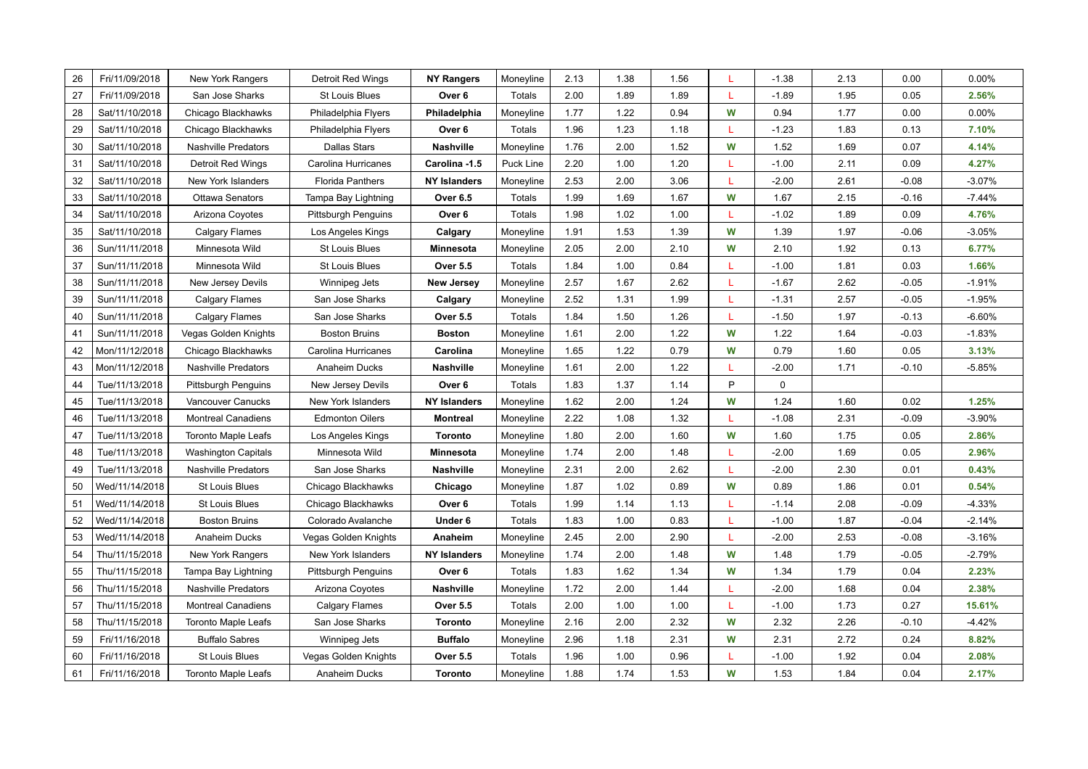| 26 | Fri/11/09/2018 | New York Rangers           | Detroit Red Wings          | <b>NY Rangers</b>   | Moneyline     | 2.13 | 1.38 | 1.56 |   | $-1.38$ | 2.13 | 0.00    | 0.00%    |
|----|----------------|----------------------------|----------------------------|---------------------|---------------|------|------|------|---|---------|------|---------|----------|
| 27 | Fri/11/09/2018 | San Jose Sharks            | <b>St Louis Blues</b>      | Over 6              | Totals        | 2.00 | 1.89 | 1.89 |   | $-1.89$ | 1.95 | 0.05    | 2.56%    |
| 28 | Sat/11/10/2018 | Chicago Blackhawks         | Philadelphia Flyers        | Philadelphia        | Moneyline     | 1.77 | 1.22 | 0.94 | W | 0.94    | 1.77 | 0.00    | 0.00%    |
| 29 | Sat/11/10/2018 | Chicago Blackhawks         | Philadelphia Flyers        | Over 6              | Totals        | 1.96 | 1.23 | 1.18 | L | $-1.23$ | 1.83 | 0.13    | 7.10%    |
| 30 | Sat/11/10/2018 | <b>Nashville Predators</b> | <b>Dallas Stars</b>        | Nashville           | Moneyline     | 1.76 | 2.00 | 1.52 | W | 1.52    | 1.69 | 0.07    | 4.14%    |
| 31 | Sat/11/10/2018 | <b>Detroit Red Wings</b>   | Carolina Hurricanes        | Carolina -1.5       | Puck Line     | 2.20 | 1.00 | 1.20 | L | $-1.00$ | 2.11 | 0.09    | 4.27%    |
| 32 | Sat/11/10/2018 | New York Islanders         | <b>Florida Panthers</b>    | <b>NY Islanders</b> | Moneyline     | 2.53 | 2.00 | 3.06 | L | $-2.00$ | 2.61 | $-0.08$ | $-3.07%$ |
| 33 | Sat/11/10/2018 | Ottawa Senators            | Tampa Bay Lightning        | <b>Over 6.5</b>     | Totals        | 1.99 | 1.69 | 1.67 | W | 1.67    | 2.15 | $-0.16$ | $-7.44%$ |
| 34 | Sat/11/10/2018 | Arizona Coyotes            | <b>Pittsburgh Penguins</b> | Over 6              | Totals        | 1.98 | 1.02 | 1.00 |   | $-1.02$ | 1.89 | 0.09    | 4.76%    |
| 35 | Sat/11/10/2018 | Calgary Flames             | Los Angeles Kings          | Calgary             | Moneyline     | 1.91 | 1.53 | 1.39 | W | 1.39    | 1.97 | $-0.06$ | $-3.05%$ |
| 36 | Sun/11/11/2018 | Minnesota Wild             | St Louis Blues             | Minnesota           | Moneyline     | 2.05 | 2.00 | 2.10 | W | 2.10    | 1.92 | 0.13    | 6.77%    |
| 37 | Sun/11/11/2018 | Minnesota Wild             | St Louis Blues             | <b>Over 5.5</b>     | Totals        | 1.84 | 1.00 | 0.84 |   | $-1.00$ | 1.81 | 0.03    | 1.66%    |
| 38 | Sun/11/11/2018 | New Jersey Devils          | Winnipeg Jets              | <b>New Jersey</b>   | Moneyline     | 2.57 | 1.67 | 2.62 |   | $-1.67$ | 2.62 | $-0.05$ | $-1.91%$ |
| 39 | Sun/11/11/2018 | Calgary Flames             | San Jose Sharks            | Calgary             | Moneyline     | 2.52 | 1.31 | 1.99 | L | $-1.31$ | 2.57 | $-0.05$ | $-1.95%$ |
| 40 | Sun/11/11/2018 | <b>Calgary Flames</b>      | San Jose Sharks            | <b>Over 5.5</b>     | Totals        | 1.84 | 1.50 | 1.26 |   | $-1.50$ | 1.97 | $-0.13$ | $-6.60%$ |
| 41 | Sun/11/11/2018 | Vegas Golden Knights       | <b>Boston Bruins</b>       | <b>Boston</b>       | Moneyline     | 1.61 | 2.00 | 1.22 | W | 1.22    | 1.64 | $-0.03$ | $-1.83%$ |
| 42 | Mon/11/12/2018 | Chicago Blackhawks         | Carolina Hurricanes        | Carolina            | Moneyline     | 1.65 | 1.22 | 0.79 | W | 0.79    | 1.60 | 0.05    | 3.13%    |
| 43 | Mon/11/12/2018 | <b>Nashville Predators</b> | Anaheim Ducks              | Nashville           | Moneyline     | 1.61 | 2.00 | 1.22 |   | $-2.00$ | 1.71 | $-0.10$ | $-5.85%$ |
| 44 | Tue/11/13/2018 | <b>Pittsburgh Penguins</b> | New Jersey Devils          | Over 6              | Totals        | 1.83 | 1.37 | 1.14 | P | 0       |      |         |          |
| 45 | Tue/11/13/2018 | Vancouver Canucks          | New York Islanders         | <b>NY Islanders</b> | Moneyline     | 1.62 | 2.00 | 1.24 | W | 1.24    | 1.60 | 0.02    | 1.25%    |
| 46 | Tue/11/13/2018 | <b>Montreal Canadiens</b>  | <b>Edmonton Oilers</b>     | <b>Montreal</b>     | Moneyline     | 2.22 | 1.08 | 1.32 | L | $-1.08$ | 2.31 | $-0.09$ | $-3.90%$ |
| 47 | Tue/11/13/2018 | <b>Toronto Maple Leafs</b> | Los Angeles Kings          | <b>Toronto</b>      | Moneyline     | 1.80 | 2.00 | 1.60 | W | 1.60    | 1.75 | 0.05    | 2.86%    |
| 48 | Tue/11/13/2018 | <b>Washington Capitals</b> | Minnesota Wild             | Minnesota           | Moneyline     | 1.74 | 2.00 | 1.48 |   | $-2.00$ | 1.69 | 0.05    | 2.96%    |
| 49 | Tue/11/13/2018 | Nashville Predators        | San Jose Sharks            | Nashville           | Moneyline     | 2.31 | 2.00 | 2.62 |   | $-2.00$ | 2.30 | 0.01    | 0.43%    |
| 50 | Wed/11/14/2018 | St Louis Blues             | Chicago Blackhawks         | Chicago             | Moneyline     | 1.87 | 1.02 | 0.89 | W | 0.89    | 1.86 | 0.01    | 0.54%    |
| 51 | Wed/11/14/2018 | St Louis Blues             | Chicago Blackhawks         | Over 6              | Totals        | 1.99 | 1.14 | 1.13 |   | $-1.14$ | 2.08 | $-0.09$ | $-4.33%$ |
| 52 | Wed/11/14/2018 | <b>Boston Bruins</b>       | Colorado Avalanche         | Under 6             | Totals        | 1.83 | 1.00 | 0.83 |   | $-1.00$ | 1.87 | $-0.04$ | $-2.14%$ |
| 53 | Wed/11/14/2018 | Anaheim Ducks              | Vegas Golden Knights       | Anaheim             | Moneyline     | 2.45 | 2.00 | 2.90 | L | $-2.00$ | 2.53 | $-0.08$ | $-3.16%$ |
| 54 | Thu/11/15/2018 | New York Rangers           | New York Islanders         | <b>NY Islanders</b> | Moneyline     | 1.74 | 2.00 | 1.48 | W | 1.48    | 1.79 | $-0.05$ | $-2.79%$ |
| 55 | Thu/11/15/2018 | Tampa Bay Lightning        | Pittsburgh Penguins        | Over 6              | Totals        | 1.83 | 1.62 | 1.34 | W | 1.34    | 1.79 | 0.04    | 2.23%    |
| 56 | Thu/11/15/2018 | <b>Nashville Predators</b> | Arizona Coyotes            | <b>Nashville</b>    | Moneyline     | 1.72 | 2.00 | 1.44 |   | $-2.00$ | 1.68 | 0.04    | 2.38%    |
| 57 | Thu/11/15/2018 | <b>Montreal Canadiens</b>  | <b>Calgary Flames</b>      | <b>Over 5.5</b>     | <b>Totals</b> | 2.00 | 1.00 | 1.00 | L | $-1.00$ | 1.73 | 0.27    | 15.61%   |
| 58 | Thu/11/15/2018 | <b>Toronto Maple Leafs</b> | San Jose Sharks            | <b>Toronto</b>      | Moneyline     | 2.16 | 2.00 | 2.32 | W | 2.32    | 2.26 | $-0.10$ | $-4.42%$ |
| 59 | Fri/11/16/2018 | <b>Buffalo Sabres</b>      | Winnipeg Jets              | <b>Buffalo</b>      | Moneyline     | 2.96 | 1.18 | 2.31 | W | 2.31    | 2.72 | 0.24    | 8.82%    |
| 60 | Fri/11/16/2018 | <b>St Louis Blues</b>      | Vegas Golden Knights       | <b>Over 5.5</b>     | Totals        | 1.96 | 1.00 | 0.96 |   | $-1.00$ | 1.92 | 0.04    | 2.08%    |
| 61 | Fri/11/16/2018 | Toronto Maple Leafs        | Anaheim Ducks              | <b>Toronto</b>      | Moneyline     | 1.88 | 1.74 | 1.53 | W | 1.53    | 1.84 | 0.04    | 2.17%    |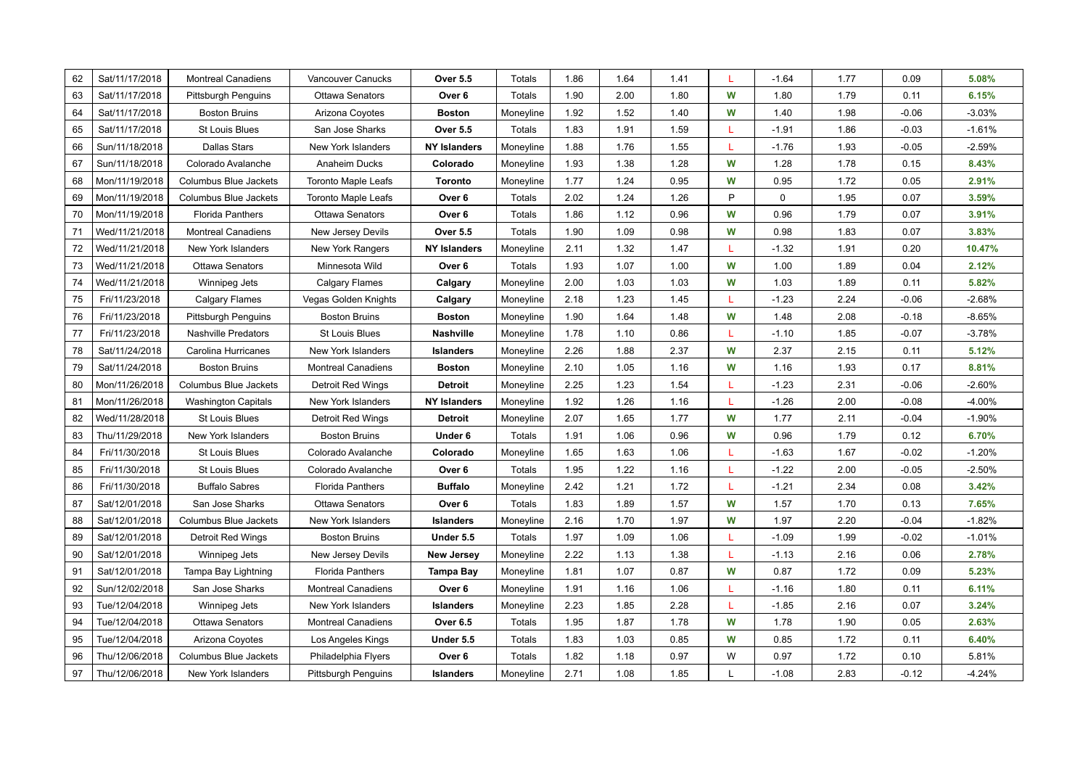| 62 | Sat/11/17/2018 | <b>Montreal Canadiens</b>    | Vancouver Canucks          | <b>Over 5.5</b>     |           | 1.86 | 1.64 | 1.41 |   | $-1.64$ | 1.77 | 0.09    | 5.08%    |
|----|----------------|------------------------------|----------------------------|---------------------|-----------|------|------|------|---|---------|------|---------|----------|
| 63 |                |                              |                            |                     | Totals    | 1.90 |      |      | W |         |      |         | 6.15%    |
|    | Sat/11/17/2018 | Pittsburgh Penguins          | <b>Ottawa Senators</b>     | Over 6              | Totals    |      | 2.00 | 1.80 |   | 1.80    | 1.79 | 0.11    |          |
| 64 | Sat/11/17/2018 | <b>Boston Bruins</b>         | Arizona Coyotes            | <b>Boston</b>       | Moneyline | 1.92 | 1.52 | 1.40 | W | 1.40    | 1.98 | $-0.06$ | $-3.03%$ |
| 65 | Sat/11/17/2018 | <b>St Louis Blues</b>        | San Jose Sharks            | <b>Over 5.5</b>     | Totals    | 1.83 | 1.91 | 1.59 |   | $-1.91$ | 1.86 | $-0.03$ | $-1.61%$ |
| 66 | Sun/11/18/2018 | <b>Dallas Stars</b>          | New York Islanders         | <b>NY Islanders</b> | Moneyline | 1.88 | 1.76 | 1.55 | L | $-1.76$ | 1.93 | $-0.05$ | $-2.59%$ |
| 67 | Sun/11/18/2018 | Colorado Avalanche           | Anaheim Ducks              | Colorado            | Moneyline | 1.93 | 1.38 | 1.28 | W | 1.28    | 1.78 | 0.15    | 8.43%    |
| 68 | Mon/11/19/2018 | Columbus Blue Jackets        | <b>Toronto Maple Leafs</b> | Toronto             | Moneyline | 1.77 | 1.24 | 0.95 | W | 0.95    | 1.72 | 0.05    | 2.91%    |
| 69 | Mon/11/19/2018 | <b>Columbus Blue Jackets</b> | <b>Toronto Maple Leafs</b> | Over 6              | Totals    | 2.02 | 1.24 | 1.26 | P | 0       | 1.95 | 0.07    | 3.59%    |
| 70 | Mon/11/19/2018 | <b>Florida Panthers</b>      | <b>Ottawa Senators</b>     | Over 6              | Totals    | 1.86 | 1.12 | 0.96 | W | 0.96    | 1.79 | 0.07    | 3.91%    |
| 71 | Wed/11/21/2018 | <b>Montreal Canadiens</b>    | New Jersey Devils          | <b>Over 5.5</b>     | Totals    | 1.90 | 1.09 | 0.98 | W | 0.98    | 1.83 | 0.07    | 3.83%    |
| 72 | Wed/11/21/2018 | New York Islanders           | New York Rangers           | <b>NY Islanders</b> | Moneyline | 2.11 | 1.32 | 1.47 |   | $-1.32$ | 1.91 | 0.20    | 10.47%   |
| 73 | Wed/11/21/2018 | Ottawa Senators              | Minnesota Wild             | Over 6              | Totals    | 1.93 | 1.07 | 1.00 | W | 1.00    | 1.89 | 0.04    | 2.12%    |
| 74 | Wed/11/21/2018 | Winnipeg Jets                | Calgary Flames             | Calgary             | Moneyline | 2.00 | 1.03 | 1.03 | W | 1.03    | 1.89 | 0.11    | 5.82%    |
| 75 | Fri/11/23/2018 | Calgary Flames               | Vegas Golden Knights       | Calgary             | Moneyline | 2.18 | 1.23 | 1.45 |   | $-1.23$ | 2.24 | $-0.06$ | $-2.68%$ |
| 76 | Fri/11/23/2018 | <b>Pittsburgh Penguins</b>   | <b>Boston Bruins</b>       | <b>Boston</b>       | Moneyline | 1.90 | 1.64 | 1.48 | W | 1.48    | 2.08 | $-0.18$ | $-8.65%$ |
| 77 | Fri/11/23/2018 | <b>Nashville Predators</b>   | <b>St Louis Blues</b>      | <b>Nashville</b>    | Moneyline | 1.78 | 1.10 | 0.86 |   | $-1.10$ | 1.85 | $-0.07$ | $-3.78%$ |
| 78 | Sat/11/24/2018 | Carolina Hurricanes          | New York Islanders         | <b>Islanders</b>    | Moneyline | 2.26 | 1.88 | 2.37 | W | 2.37    | 2.15 | 0.11    | 5.12%    |
| 79 | Sat/11/24/2018 | <b>Boston Bruins</b>         | <b>Montreal Canadiens</b>  | <b>Boston</b>       | Moneyline | 2.10 | 1.05 | 1.16 | W | 1.16    | 1.93 | 0.17    | 8.81%    |
| 80 | Mon/11/26/2018 | <b>Columbus Blue Jackets</b> | <b>Detroit Red Wings</b>   | <b>Detroit</b>      | Moneyline | 2.25 | 1.23 | 1.54 |   | $-1.23$ | 2.31 | $-0.06$ | $-2.60%$ |
| 81 | Mon/11/26/2018 | <b>Washington Capitals</b>   | New York Islanders         | <b>NY Islanders</b> | Moneyline | 1.92 | 1.26 | 1.16 | L | $-1.26$ | 2.00 | $-0.08$ | $-4.00%$ |
| 82 | Wed/11/28/2018 | <b>St Louis Blues</b>        | Detroit Red Wings          | Detroit             | Moneyline | 2.07 | 1.65 | 1.77 | W | 1.77    | 2.11 | $-0.04$ | $-1.90%$ |
| 83 | Thu/11/29/2018 | New York Islanders           | <b>Boston Bruins</b>       | Under 6             | Totals    | 1.91 | 1.06 | 0.96 | W | 0.96    | 1.79 | 0.12    | 6.70%    |
| 84 | Fri/11/30/2018 | <b>St Louis Blues</b>        | Colorado Avalanche         | Colorado            | Moneyline | 1.65 | 1.63 | 1.06 |   | $-1.63$ | 1.67 | $-0.02$ | $-1.20%$ |
| 85 | Fri/11/30/2018 | St Louis Blues               | Colorado Avalanche         | Over 6              | Totals    | 1.95 | 1.22 | 1.16 |   | $-1.22$ | 2.00 | $-0.05$ | $-2.50%$ |
| 86 | Fri/11/30/2018 | <b>Buffalo Sabres</b>        | <b>Florida Panthers</b>    | <b>Buffalo</b>      | Moneyline | 2.42 | 1.21 | 1.72 | L | $-1.21$ | 2.34 | 0.08    | 3.42%    |
| 87 | Sat/12/01/2018 | San Jose Sharks              | <b>Ottawa Senators</b>     | Over 6              | Totals    | 1.83 | 1.89 | 1.57 | W | 1.57    | 1.70 | 0.13    | 7.65%    |
| 88 | Sat/12/01/2018 | Columbus Blue Jackets        | New York Islanders         | Islanders           | Moneyline | 2.16 | 1.70 | 1.97 | W | 1.97    | 2.20 | $-0.04$ | $-1.82%$ |
| 89 | Sat/12/01/2018 | Detroit Red Wings            | <b>Boston Bruins</b>       | Under 5.5           | Totals    | 1.97 | 1.09 | 1.06 |   | $-1.09$ | 1.99 | $-0.02$ | $-1.01%$ |
| 90 | Sat/12/01/2018 | Winnipeg Jets                | New Jersey Devils          | <b>New Jersey</b>   | Moneyline | 2.22 | 1.13 | 1.38 |   | $-1.13$ | 2.16 | 0.06    | 2.78%    |
| 91 | Sat/12/01/2018 | Tampa Bay Lightning          | <b>Florida Panthers</b>    | <b>Tampa Bay</b>    | Moneyline | 1.81 | 1.07 | 0.87 | W | 0.87    | 1.72 | 0.09    | 5.23%    |
| 92 | Sun/12/02/2018 | San Jose Sharks              | <b>Montreal Canadiens</b>  | Over 6              | Moneyline | 1.91 | 1.16 | 1.06 |   | $-1.16$ | 1.80 | 0.11    | 6.11%    |
| 93 | Tue/12/04/2018 | Winnipeg Jets                | New York Islanders         | <b>Islanders</b>    | Moneyline | 2.23 | 1.85 | 2.28 | L | $-1.85$ | 2.16 | 0.07    | 3.24%    |
| 94 | Tue/12/04/2018 | Ottawa Senators              | <b>Montreal Canadiens</b>  | <b>Over 6.5</b>     | Totals    | 1.95 | 1.87 | 1.78 | W | 1.78    | 1.90 | 0.05    | 2.63%    |
| 95 | Tue/12/04/2018 | Arizona Coyotes              | Los Angeles Kings          | Under 5.5           | Totals    | 1.83 | 1.03 | 0.85 | W | 0.85    | 1.72 | 0.11    | 6.40%    |
| 96 | Thu/12/06/2018 | <b>Columbus Blue Jackets</b> | Philadelphia Flyers        | Over 6              | Totals    | 1.82 | 1.18 | 0.97 | W | 0.97    | 1.72 | 0.10    | 5.81%    |
| 97 | Thu/12/06/2018 | New York Islanders           | <b>Pittsburgh Penguins</b> | <b>Islanders</b>    | Moneyline | 2.71 | 1.08 | 1.85 | L | $-1.08$ | 2.83 | $-0.12$ | $-4.24%$ |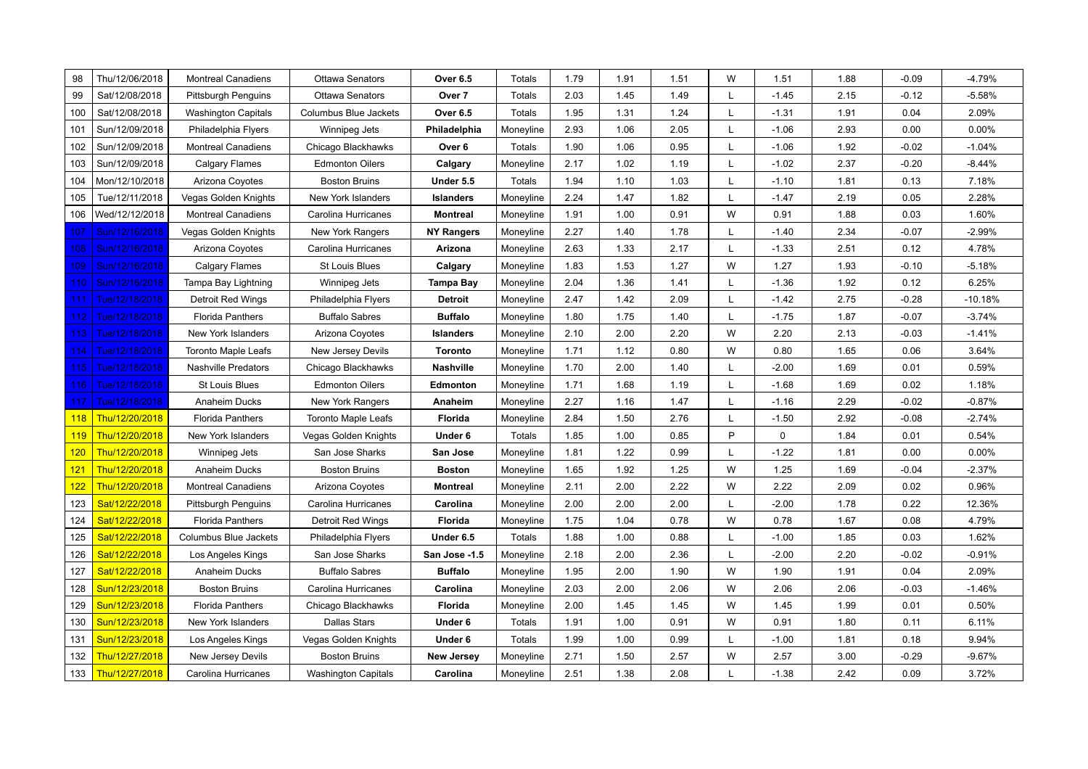| 98         | Thu/12/06/2018 |                            |                                                  |                    |                  |              |              |              | W |                 |              | $-0.09$ | $-4.79%$  |
|------------|----------------|----------------------------|--------------------------------------------------|--------------------|------------------|--------------|--------------|--------------|---|-----------------|--------------|---------|-----------|
| 99         | Sat/12/08/2018 | <b>Montreal Canadiens</b>  | <b>Ottawa Senators</b><br><b>Ottawa Senators</b> | Over 6.5<br>Over 7 | Totals<br>Totals | 1.79<br>2.03 | 1.91<br>1.45 | 1.51<br>1.49 | L | 1.51<br>$-1.45$ | 1.88<br>2.15 | $-0.12$ | $-5.58%$  |
|            |                | <b>Pittsburgh Penguins</b> |                                                  |                    |                  |              |              |              |   |                 |              |         |           |
| 100        | Sat/12/08/2018 | <b>Washington Capitals</b> | Columbus Blue Jackets                            | Over 6.5           | Totals           | 1.95         | 1.31         | 1.24         | L | $-1.31$         | 1.91         | 0.04    | 2.09%     |
| 101        | Sun/12/09/2018 | Philadelphia Flyers        | Winnipeg Jets                                    | Philadelphia       | Moneyline        | 2.93         | 1.06         | 2.05         | L | $-1.06$         | 2.93         | 0.00    | 0.00%     |
| 102        | Sun/12/09/2018 | <b>Montreal Canadiens</b>  | Chicago Blackhawks                               | Over <sub>6</sub>  | Totals           | 1.90         | 1.06         | 0.95         | L | $-1.06$         | 1.92         | $-0.02$ | $-1.04%$  |
| 103        | Sun/12/09/2018 | <b>Calgary Flames</b>      | <b>Edmonton Oilers</b>                           | Calgary            | Moneyline        | 2.17         | 1.02         | 1.19         | L | $-1.02$         | 2.37         | $-0.20$ | $-8.44%$  |
| 104        | Mon/12/10/2018 | Arizona Coyotes            | <b>Boston Bruins</b>                             | Under 5.5          | Totals           | 1.94         | 1.10         | 1.03         | L | $-1.10$         | 1.81         | 0.13    | 7.18%     |
| 105        | Tue/12/11/2018 | Vegas Golden Knights       | New York Islanders                               | <b>Islanders</b>   | Moneyline        | 2.24         | 1.47         | 1.82         | L | $-1.47$         | 2.19         | 0.05    | 2.28%     |
| 106        | Wed/12/12/2018 | <b>Montreal Canadiens</b>  | Carolina Hurricanes                              | <b>Montreal</b>    | Moneyline        | 1.91         | 1.00         | 0.91         | W | 0.91            | 1.88         | 0.03    | 1.60%     |
| 107        | Sun/12/16/2018 | Vegas Golden Knights       | New York Rangers                                 | <b>NY Rangers</b>  | Moneyline        | 2.27         | 1.40         | 1.78         | L | $-1.40$         | 2.34         | $-0.07$ | $-2.99%$  |
| 108.       | Sun/12/16/2018 | Arizona Coyotes            | Carolina Hurricanes                              | Arizona            | Moneyline        | 2.63         | 1.33         | 2.17         | L | $-1.33$         | 2.51         | 0.12    | 4.78%     |
| 109        | Sun/12/16/2018 | Calgary Flames             | <b>St Louis Blues</b>                            | Calgary            | Moneyline        | 1.83         | 1.53         | 1.27         | W | 1.27            | 1.93         | $-0.10$ | $-5.18%$  |
| 110        | Sun/12/16/2018 | Tampa Bay Lightning        | Winnipeg Jets                                    | Tampa Bay          | Moneyline        | 2.04         | 1.36         | 1.41         | L | $-1.36$         | 1.92         | 0.12    | 6.25%     |
| 111        | Tue/12/18/2018 | Detroit Red Wings          | Philadelphia Flyers                              | Detroit            | Moneyline        | 2.47         | 1.42         | 2.09         | L | $-1.42$         | 2.75         | $-0.28$ | $-10.18%$ |
| 112        | Tue/12/18/2018 | <b>Florida Panthers</b>    | <b>Buffalo Sabres</b>                            | Buffalo            | Moneyline        | 1.80         | 1.75         | 1.40         | L | $-1.75$         | 1.87         | $-0.07$ | $-3.74%$  |
| 113        | Tue/12/18/2018 | New York Islanders         | Arizona Coyotes                                  | <b>Islanders</b>   | Moneyline        | 2.10         | 2.00         | 2.20         | W | 2.20            | 2.13         | $-0.03$ | $-1.41%$  |
| 114        | Tue/12/18/2018 | <b>Toronto Maple Leafs</b> | New Jersey Devils                                | <b>Toronto</b>     | Moneyline        | 1.71         | 1.12         | 0.80         | W | 0.80            | 1.65         | 0.06    | 3.64%     |
| 115        | Tue/12/18/2018 | <b>Nashville Predators</b> | Chicago Blackhawks                               | Nashville          | Moneyline        | 1.70         | 2.00         | 1.40         | L | $-2.00$         | 1.69         | 0.01    | 0.59%     |
| 116        | Tue/12/18/2018 | <b>St Louis Blues</b>      | <b>Edmonton Oilers</b>                           | Edmonton           | Moneyline        | 1.71         | 1.68         | 1.19         | L | $-1.68$         | 1.69         | 0.02    | 1.18%     |
| 117        | Tue/12/18/2018 | Anaheim Ducks              | New York Rangers                                 | Anaheim            | Moneyline        | 2.27         | 1.16         | 1.47         | L | $-1.16$         | 2.29         | $-0.02$ | $-0.87%$  |
| 118        | Thu/12/20/2018 | <b>Florida Panthers</b>    | <b>Toronto Maple Leafs</b>                       | Florida            | Moneyline        | 2.84         | 1.50         | 2.76         | L | $-1.50$         | 2.92         | $-0.08$ | $-2.74%$  |
| <b>119</b> | Thu/12/20/2018 | New York Islanders         | Vegas Golden Knights                             | Under 6            | Totals           | 1.85         | 1.00         | 0.85         | P | 0               | 1.84         | 0.01    | 0.54%     |
| 120        | Thu/12/20/2018 | Winnipeg Jets              | San Jose Sharks                                  | San Jose           | Moneyline        | 1.81         | 1.22         | 0.99         | L | $-1.22$         | 1.81         | 0.00    | 0.00%     |
| 121        | Thu/12/20/2018 | Anaheim Ducks              | <b>Boston Bruins</b>                             | <b>Boston</b>      | Moneyline        | 1.65         | 1.92         | 1.25         | W | 1.25            | 1.69         | $-0.04$ | $-2.37%$  |
| 122        | Thu/12/20/2018 | <b>Montreal Canadiens</b>  | Arizona Coyotes                                  | <b>Montreal</b>    | Moneyline        | 2.11         | 2.00         | 2.22         | W | 2.22            | 2.09         | 0.02    | 0.96%     |
| 123        | Sat/12/22/2018 | <b>Pittsburgh Penguins</b> | Carolina Hurricanes                              | Carolina           | Moneyline        | 2.00         | 2.00         | 2.00         | L | $-2.00$         | 1.78         | 0.22    | 12.36%    |
| 124        | Sat/12/22/2018 | <b>Florida Panthers</b>    | Detroit Red Wings                                | Florida            | Moneyline        | 1.75         | 1.04         | 0.78         | W | 0.78            | 1.67         | 0.08    | 4.79%     |
| 125        | Sat/12/22/2018 | Columbus Blue Jackets      | Philadelphia Flyers                              | Under 6.5          | Totals           | 1.88         | 1.00         | 0.88         | L | $-1.00$         | 1.85         | 0.03    | 1.62%     |
| 126        | Sat/12/22/2018 | Los Angeles Kings          | San Jose Sharks                                  | San Jose -1.5      | Moneyline        | 2.18         | 2.00         | 2.36         | L | $-2.00$         | 2.20         | $-0.02$ | $-0.91%$  |
| 127        | Sat/12/22/2018 | Anaheim Ducks              | <b>Buffalo Sabres</b>                            | Buffalo            | Moneyline        | 1.95         | 2.00         | 1.90         | W | 1.90            | 1.91         | 0.04    | 2.09%     |
| 128        | Sun/12/23/2018 | <b>Boston Bruins</b>       | Carolina Hurricanes                              | Carolina           | Moneyline        | 2.03         | 2.00         | 2.06         | W | 2.06            | 2.06         | $-0.03$ | $-1.46%$  |
| 129        | Sun/12/23/2018 | <b>Florida Panthers</b>    | Chicago Blackhawks                               | Florida            | Moneyline        | 2.00         | 1.45         | 1.45         | W | 1.45            | 1.99         | 0.01    | 0.50%     |
| 130        | Sun/12/23/2018 | New York Islanders         | <b>Dallas Stars</b>                              | Under 6            | Totals           | 1.91         | 1.00         | 0.91         | W | 0.91            | 1.80         | 0.11    | 6.11%     |
| 131        | Sun/12/23/2018 | Los Angeles Kings          | Vegas Golden Knights                             | Under 6            | Totals           | 1.99         | 1.00         | 0.99         | L | $-1.00$         | 1.81         | 0.18    | 9.94%     |
| 132        | Thu/12/27/2018 | New Jersey Devils          | <b>Boston Bruins</b>                             | <b>New Jersey</b>  | Moneyline        | 2.71         | 1.50         | 2.57         | W | 2.57            | 3.00         | $-0.29$ | $-9.67%$  |
| 133        | Thu/12/27/2018 | Carolina Hurricanes        | <b>Washington Capitals</b>                       | Carolina           | Moneyline        | 2.51         | 1.38         | 2.08         | L | $-1.38$         | 2.42         | 0.09    | 3.72%     |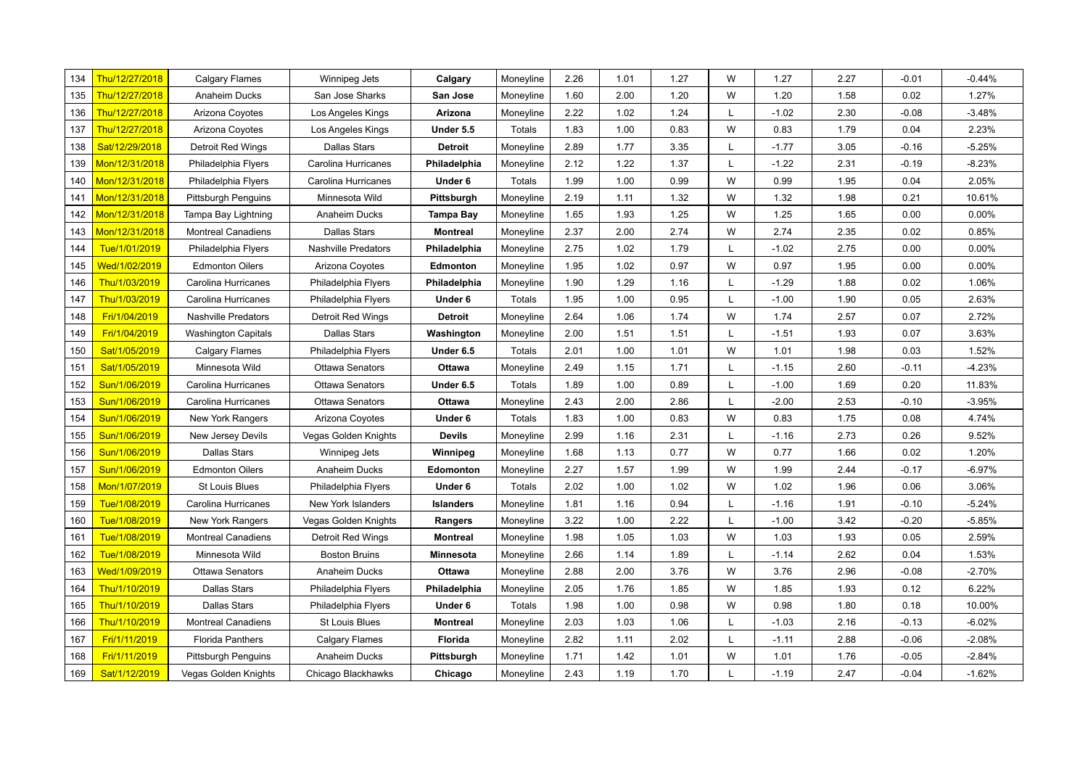| 134 | Thu/12/27/2018 | <b>Calgary Flames</b>       | Winnipeg Jets          | Calgary          | Moneyline | 2.26 | 1.01 | 1.27 | W | 1.27    | 2.27 | $-0.01$ | $-0.44%$ |
|-----|----------------|-----------------------------|------------------------|------------------|-----------|------|------|------|---|---------|------|---------|----------|
| 135 | Thu/12/27/2018 | Anaheim Ducks               | San Jose Sharks        | San Jose         | Moneyline | 1.60 | 2.00 | 1.20 | W | 1.20    | 1.58 | 0.02    | 1.27%    |
| 136 | Thu/12/27/2018 | Arizona Coyotes             | Los Angeles Kings      | Arizona          | Moneyline | 2.22 | 1.02 | 1.24 | L | $-1.02$ | 2.30 | $-0.08$ | $-3.48%$ |
| 137 | Thu/12/27/2018 | Arizona Coyotes             | Los Angeles Kings      | Under 5.5        | Totals    | 1.83 | 1.00 | 0.83 | W | 0.83    | 1.79 | 0.04    | 2.23%    |
| 138 | Sat/12/29/2018 | <b>Detroit Red Wings</b>    | <b>Dallas Stars</b>    | <b>Detroit</b>   | Moneyline | 2.89 | 1.77 | 3.35 | L | $-1.77$ | 3.05 | $-0.16$ | $-5.25%$ |
| 139 | Mon/12/31/2018 | Philadelphia Flyers         | Carolina Hurricanes    | Philadelphia     | Moneyline | 2.12 | 1.22 | 1.37 | L | $-1.22$ | 2.31 | $-0.19$ | $-8.23%$ |
| 140 | Mon/12/31/2018 | Philadelphia Flyers         | Carolina Hurricanes    | Under 6          | Totals    | 1.99 | 1.00 | 0.99 | W | 0.99    | 1.95 | 0.04    | 2.05%    |
| 141 | Mon/12/31/2018 | <b>Pittsburgh Penguins</b>  | Minnesota Wild         | Pittsburgh       | Moneyline | 2.19 | 1.11 | 1.32 | W | 1.32    | 1.98 | 0.21    | 10.61%   |
| 142 | Mon/12/31/2018 | Tampa Bay Lightning         | Anaheim Ducks          | Tampa Bay        | Moneyline | 1.65 | 1.93 | 1.25 | W | 1.25    | 1.65 | 0.00    | 0.00%    |
| 143 | Mon/12/31/2018 | <b>Montreal Canadiens</b>   | <b>Dallas Stars</b>    | Montreal         | Moneyline | 2.37 | 2.00 | 2.74 | W | 2.74    | 2.35 | 0.02    | 0.85%    |
| 144 | Tue/1/01/2019  | Philadelphia Flyers         | Nashville Predators    | Philadelphia     | Moneyline | 2.75 | 1.02 | 1.79 |   | $-1.02$ | 2.75 | 0.00    | 0.00%    |
| 145 | Wed/1/02/2019  | <b>Edmonton Oilers</b>      | Arizona Coyotes        | Edmonton         | Moneyline | 1.95 | 1.02 | 0.97 | W | 0.97    | 1.95 | 0.00    | $0.00\%$ |
| 146 | Thu/1/03/2019  | Carolina Hurricanes         | Philadelphia Flyers    | Philadelphia     | Moneyline | 1.90 | 1.29 | 1.16 |   | $-1.29$ | 1.88 | 0.02    | 1.06%    |
| 147 | Thu/1/03/2019  | Carolina Hurricanes         | Philadelphia Flyers    | Under 6          | Totals    | 1.95 | 1.00 | 0.95 |   | $-1.00$ | 1.90 | 0.05    | 2.63%    |
| 148 | Fri/1/04/2019  | <b>Nashville Predators</b>  | Detroit Red Wings      | <b>Detroit</b>   | Moneyline | 2.64 | 1.06 | 1.74 | W | 1.74    | 2.57 | 0.07    | 2.72%    |
| 149 | Fri/1/04/2019  | <b>Washington Capitals</b>  | <b>Dallas Stars</b>    | Washington       | Moneyline | 2.00 | 1.51 | 1.51 | L | $-1.51$ | 1.93 | 0.07    | 3.63%    |
| 150 | Sat/1/05/2019  | <b>Calgary Flames</b>       | Philadelphia Flyers    | Under 6.5        | Totals    | 2.01 | 1.00 | 1.01 | W | 1.01    | 1.98 | 0.03    | 1.52%    |
| 151 | Sat/1/05/2019  | Minnesota Wild              | <b>Ottawa Senators</b> | Ottawa           | Moneyline | 2.49 | 1.15 | 1.71 | L | $-1.15$ | 2.60 | $-0.11$ | $-4.23%$ |
| 152 | Sun/1/06/2019  | Carolina Hurricanes         | <b>Ottawa Senators</b> | Under 6.5        | Totals    | 1.89 | 1.00 | 0.89 | L | $-1.00$ | 1.69 | 0.20    | 11.83%   |
| 153 | Sun/1/06/2019  | Carolina Hurricanes         | <b>Ottawa Senators</b> | Ottawa           | Moneyline | 2.43 | 2.00 | 2.86 | L | $-2.00$ | 2.53 | $-0.10$ | $-3.95%$ |
| 154 | Sun/1/06/2019  | New York Rangers            | Arizona Coyotes        | Under 6          | Totals    | 1.83 | 1.00 | 0.83 | W | 0.83    | 1.75 | 0.08    | 4.74%    |
| 155 | Sun/1/06/2019  | New Jersey Devils           | Vegas Golden Knights   | <b>Devils</b>    | Moneyline | 2.99 | 1.16 | 2.31 | L | $-1.16$ | 2.73 | 0.26    | 9.52%    |
| 156 | Sun/1/06/2019  | <b>Dallas Stars</b>         | Winnipeg Jets          | Winnipeg         | Moneyline | 1.68 | 1.13 | 0.77 | W | 0.77    | 1.66 | 0.02    | 1.20%    |
| 157 | Sun/1/06/2019  | <b>Edmonton Oilers</b>      | Anaheim Ducks          | Edomonton        | Moneyline | 2.27 | 1.57 | 1.99 | W | 1.99    | 2.44 | $-0.17$ | $-6.97%$ |
| 158 | Mon/1/07/2019  | <b>St Louis Blues</b>       | Philadelphia Flyers    | Under 6          | Totals    | 2.02 | 1.00 | 1.02 | W | 1.02    | 1.96 | 0.06    | 3.06%    |
| 159 | Tue/1/08/2019  | Carolina Hurricanes         | New York Islanders     | <b>Islanders</b> | Moneyline | 1.81 | 1.16 | 0.94 |   | $-1.16$ | 1.91 | $-0.10$ | $-5.24%$ |
| 160 | Tue/1/08/2019  | New York Rangers            | Vegas Golden Knights   | Rangers          | Moneyline | 3.22 | 1.00 | 2.22 |   | $-1.00$ | 3.42 | $-0.20$ | $-5.85%$ |
| 161 | Tue/1/08/2019  | <b>Montreal Canadiens</b>   | Detroit Red Wings      | <b>Montreal</b>  | Moneyline | 1.98 | 1.05 | 1.03 | W | 1.03    | 1.93 | 0.05    | 2.59%    |
| 162 | Tue/1/08/2019  | Minnesota Wild              | <b>Boston Bruins</b>   | Minnesota        | Moneyline | 2.66 | 1.14 | 1.89 |   | $-1.14$ | 2.62 | 0.04    | 1.53%    |
| 163 | Wed/1/09/2019  | Ottawa Senators             | Anaheim Ducks          | Ottawa           | Moneyline | 2.88 | 2.00 | 3.76 | W | 3.76    | 2.96 | $-0.08$ | $-2.70%$ |
| 164 | Thu/1/10/2019  | <b>Dallas Stars</b>         | Philadelphia Flyers    | Philadelphia     | Moneyline | 2.05 | 1.76 | 1.85 | W | 1.85    | 1.93 | 0.12    | 6.22%    |
| 165 | Thu/1/10/2019  | <b>Dallas Stars</b>         | Philadelphia Flyers    | Under 6          | Totals    | 1.98 | 1.00 | 0.98 | W | 0.98    | 1.80 | 0.18    | 10.00%   |
| 166 | Thu/1/10/2019  | <b>Montreal Canadiens</b>   | <b>St Louis Blues</b>  | <b>Montreal</b>  | Moneyline | 2.03 | 1.03 | 1.06 |   | $-1.03$ | 2.16 | $-0.13$ | $-6.02%$ |
| 167 | Fri/1/11/2019  | <b>Florida Panthers</b>     | <b>Calgary Flames</b>  | Florida          | Moneyline | 2.82 | 1.11 | 2.02 | L | $-1.11$ | 2.88 | $-0.06$ | $-2.08%$ |
| 168 | Fri/1/11/2019  | <b>Pittsburgh Penguins</b>  | Anaheim Ducks          | Pittsburgh       | Moneyline | 1.71 | 1.42 | 1.01 | W | 1.01    | 1.76 | $-0.05$ | $-2.84%$ |
| 169 | Sat/1/12/2019  | <b>Vegas Golden Knights</b> | Chicago Blackhawks     | Chicago          | Moneyline | 2.43 | 1.19 | 1.70 | L | $-1.19$ | 2.47 | $-0.04$ | $-1.62%$ |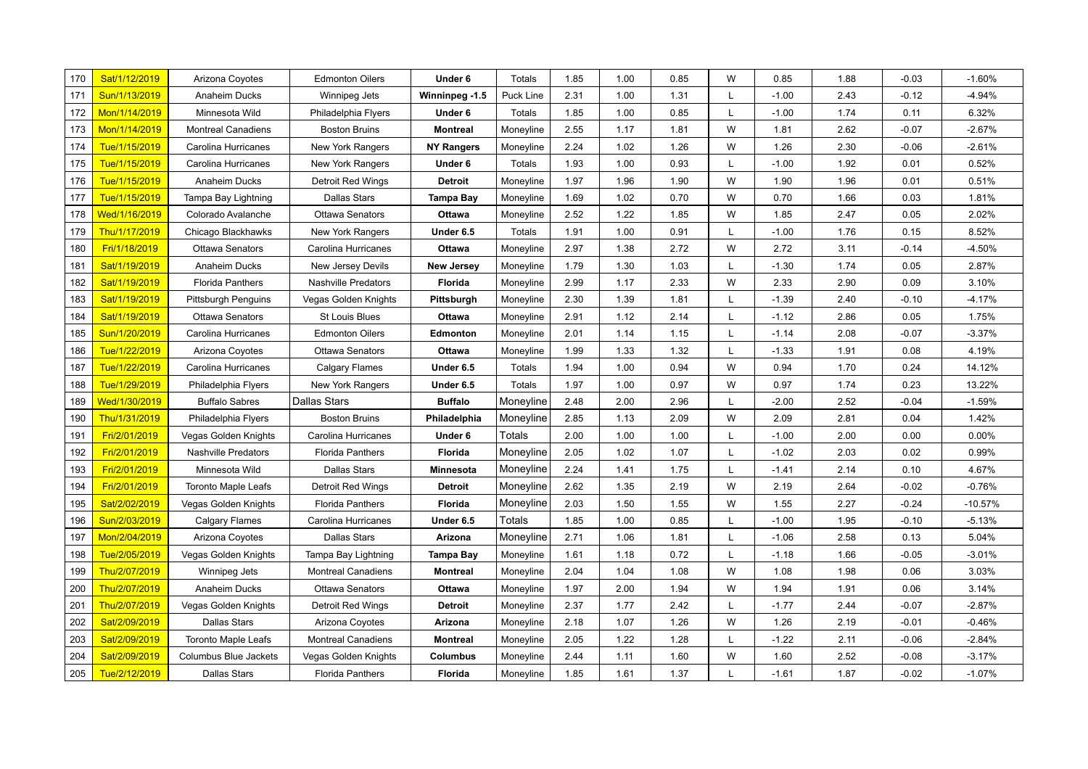| 170 | Sat/1/12/2019 | Arizona Coyotes              | <b>Edmonton Oilers</b>    | Under 6           | Totals    | 1.85 | 1.00 | 0.85 | W | 0.85    | 1.88 | $-0.03$ | $-1.60%$  |
|-----|---------------|------------------------------|---------------------------|-------------------|-----------|------|------|------|---|---------|------|---------|-----------|
| 171 | Sun/1/13/2019 | Anaheim Ducks                | Winnipeg Jets             | Winninpeg -1.5    | Puck Line | 2.31 | 1.00 | 1.31 | L | $-1.00$ | 2.43 | $-0.12$ | $-4.94%$  |
| 172 | Mon/1/14/2019 | Minnesota Wild               | Philadelphia Flyers       | Under 6           | Totals    | 1.85 | 1.00 | 0.85 | L | $-1.00$ | 1.74 | 0.11    | 6.32%     |
| 173 | Mon/1/14/2019 | <b>Montreal Canadiens</b>    | <b>Boston Bruins</b>      | <b>Montreal</b>   | Moneyline | 2.55 | 1.17 | 1.81 | W | 1.81    | 2.62 | $-0.07$ | $-2.67%$  |
| 174 | Tue/1/15/2019 | Carolina Hurricanes          | New York Rangers          | <b>NY Rangers</b> | Moneyline | 2.24 | 1.02 | 1.26 | W | 1.26    | 2.30 | $-0.06$ | $-2.61%$  |
| 175 | Tue/1/15/2019 | Carolina Hurricanes          | New York Rangers          | Under 6           | Totals    | 1.93 | 1.00 | 0.93 | L | $-1.00$ | 1.92 | 0.01    | 0.52%     |
| 176 | Tue/1/15/2019 | Anaheim Ducks                | <b>Detroit Red Wings</b>  | <b>Detroit</b>    | Moneyline | 1.97 | 1.96 | 1.90 | W | 1.90    | 1.96 | 0.01    | 0.51%     |
| 177 | Tue/1/15/2019 | Tampa Bay Lightning          | <b>Dallas Stars</b>       | <b>Tampa Bay</b>  | Moneyline | 1.69 | 1.02 | 0.70 | W | 0.70    | 1.66 | 0.03    | 1.81%     |
| 178 | Wed/1/16/2019 | Colorado Avalanche           | <b>Ottawa Senators</b>    | Ottawa            | Moneyline | 2.52 | 1.22 | 1.85 | W | 1.85    | 2.47 | 0.05    | 2.02%     |
| 179 | Thu/1/17/2019 | Chicago Blackhawks           | New York Rangers          | Under 6.5         | Totals    | 1.91 | 1.00 | 0.91 | L | $-1.00$ | 1.76 | 0.15    | 8.52%     |
| 180 | Fri/1/18/2019 | Ottawa Senators              | Carolina Hurricanes       | Ottawa            | Moneyline | 2.97 | 1.38 | 2.72 | W | 2.72    | 3.11 | $-0.14$ | $-4.50%$  |
| 181 | Sat/1/19/2019 | Anaheim Ducks                | New Jersey Devils         | <b>New Jersey</b> | Moneyline | 1.79 | 1.30 | 1.03 | L | $-1.30$ | 1.74 | 0.05    | 2.87%     |
| 182 | Sat/1/19/2019 | <b>Florida Panthers</b>      | Nashville Predators       | <b>Florida</b>    | Moneyline | 2.99 | 1.17 | 2.33 | W | 2.33    | 2.90 | 0.09    | 3.10%     |
| 183 | Sat/1/19/2019 | <b>Pittsburgh Penguins</b>   | Vegas Golden Knights      | Pittsburgh        | Moneyline | 2.30 | 1.39 | 1.81 | L | $-1.39$ | 2.40 | $-0.10$ | $-4.17%$  |
| 184 | Sat/1/19/2019 | <b>Ottawa Senators</b>       | <b>St Louis Blues</b>     | Ottawa            | Moneyline | 2.91 | 1.12 | 2.14 | L | $-1.12$ | 2.86 | 0.05    | 1.75%     |
| 185 | Sun/1/20/2019 | Carolina Hurricanes          | <b>Edmonton Oilers</b>    | <b>Edmonton</b>   | Moneyline | 2.01 | 1.14 | 1.15 | L | $-1.14$ | 2.08 | $-0.07$ | $-3.37%$  |
| 186 | Tue/1/22/2019 | Arizona Coyotes              | <b>Ottawa Senators</b>    | Ottawa            | Moneyline | 1.99 | 1.33 | 1.32 | L | $-1.33$ | 1.91 | 0.08    | 4.19%     |
| 187 | Tue/1/22/2019 | Carolina Hurricanes          | <b>Calgary Flames</b>     | Under 6.5         | Totals    | 1.94 | 1.00 | 0.94 | W | 0.94    | 1.70 | 0.24    | 14.12%    |
| 188 | Tue/1/29/2019 | Philadelphia Flyers          | <b>New York Rangers</b>   | Under 6.5         | Totals    | 1.97 | 1.00 | 0.97 | W | 0.97    | 1.74 | 0.23    | 13.22%    |
| 189 | Wed/1/30/2019 | <b>Buffalo Sabres</b>        | <b>Dallas Stars</b>       | <b>Buffalo</b>    | Moneyline | 2.48 | 2.00 | 2.96 | L | $-2.00$ | 2.52 | $-0.04$ | $-1.59%$  |
| 190 | Thu/1/31/2019 | Philadelphia Flyers          | <b>Boston Bruins</b>      | Philadelphia      | Moneyline | 2.85 | 1.13 | 2.09 | W | 2.09    | 2.81 | 0.04    | 1.42%     |
| 191 | Fri/2/01/2019 | Vegas Golden Knights         | Carolina Hurricanes       | Under 6           | Totals    | 2.00 | 1.00 | 1.00 | L | $-1.00$ | 2.00 | 0.00    | 0.00%     |
| 192 | Fri/2/01/2019 | Nashville Predators          | <b>Florida Panthers</b>   | Florida           | Moneyline | 2.05 | 1.02 | 1.07 | L | $-1.02$ | 2.03 | 0.02    | 0.99%     |
| 193 | Fri/2/01/2019 | Minnesota Wild               | <b>Dallas Stars</b>       | Minnesota         | Moneyline | 2.24 | 1.41 | 1.75 | L | $-1.41$ | 2.14 | 0.10    | 4.67%     |
| 194 | Fri/2/01/2019 | Toronto Maple Leafs          | <b>Detroit Red Wings</b>  | <b>Detroit</b>    | Moneyline | 2.62 | 1.35 | 2.19 | W | 2.19    | 2.64 | $-0.02$ | $-0.76%$  |
| 195 | Sat/2/02/2019 | Vegas Golden Knights         | <b>Florida Panthers</b>   | Florida           | Moneyline | 2.03 | 1.50 | 1.55 | W | 1.55    | 2.27 | $-0.24$ | $-10.57%$ |
| 196 | Sun/2/03/2019 | Calgary Flames               | Carolina Hurricanes       | Under 6.5         | Totals    | 1.85 | 1.00 | 0.85 | L | $-1.00$ | 1.95 | $-0.10$ | $-5.13%$  |
| 197 | Mon/2/04/2019 | Arizona Coyotes              | Dallas Stars              | Arizona           | Moneyline | 2.71 | 1.06 | 1.81 | L | $-1.06$ | 2.58 | 0.13    | 5.04%     |
| 198 | Tue/2/05/2019 | Vegas Golden Knights         | Tampa Bay Lightning       | Tampa Bay         | Moneyline | 1.61 | 1.18 | 0.72 | L | $-1.18$ | 1.66 | $-0.05$ | $-3.01%$  |
| 199 | Thu/2/07/2019 | Winnipeg Jets                | <b>Montreal Canadiens</b> | <b>Montreal</b>   | Moneyline | 2.04 | 1.04 | 1.08 | W | 1.08    | 1.98 | 0.06    | 3.03%     |
| 200 | Thu/2/07/2019 | Anaheim Ducks                | <b>Ottawa Senators</b>    | Ottawa            | Moneyline | 1.97 | 2.00 | 1.94 | W | 1.94    | 1.91 | 0.06    | 3.14%     |
| 201 | Thu/2/07/2019 | Vegas Golden Knights         | Detroit Red Wings         | <b>Detroit</b>    | Moneyline | 2.37 | 1.77 | 2.42 | L | $-1.77$ | 2.44 | $-0.07$ | $-2.87%$  |
| 202 | Sat/2/09/2019 | <b>Dallas Stars</b>          | Arizona Coyotes           | Arizona           | Moneyline | 2.18 | 1.07 | 1.26 | W | 1.26    | 2.19 | $-0.01$ | $-0.46%$  |
| 203 | Sat/2/09/2019 | <b>Toronto Maple Leafs</b>   | <b>Montreal Canadiens</b> | <b>Montreal</b>   | Moneyline | 2.05 | 1.22 | 1.28 | L | $-1.22$ | 2.11 | $-0.06$ | $-2.84%$  |
| 204 | Sat/2/09/2019 | <b>Columbus Blue Jackets</b> | Vegas Golden Knights      | Columbus          | Moneyline | 2.44 | 1.11 | 1.60 | W | 1.60    | 2.52 | $-0.08$ | $-3.17%$  |
| 205 | Tue/2/12/2019 | <b>Dallas Stars</b>          | <b>Florida Panthers</b>   | <b>Florida</b>    | Moneyline | 1.85 | 1.61 | 1.37 | L | $-1.61$ | 1.87 | $-0.02$ | $-1.07%$  |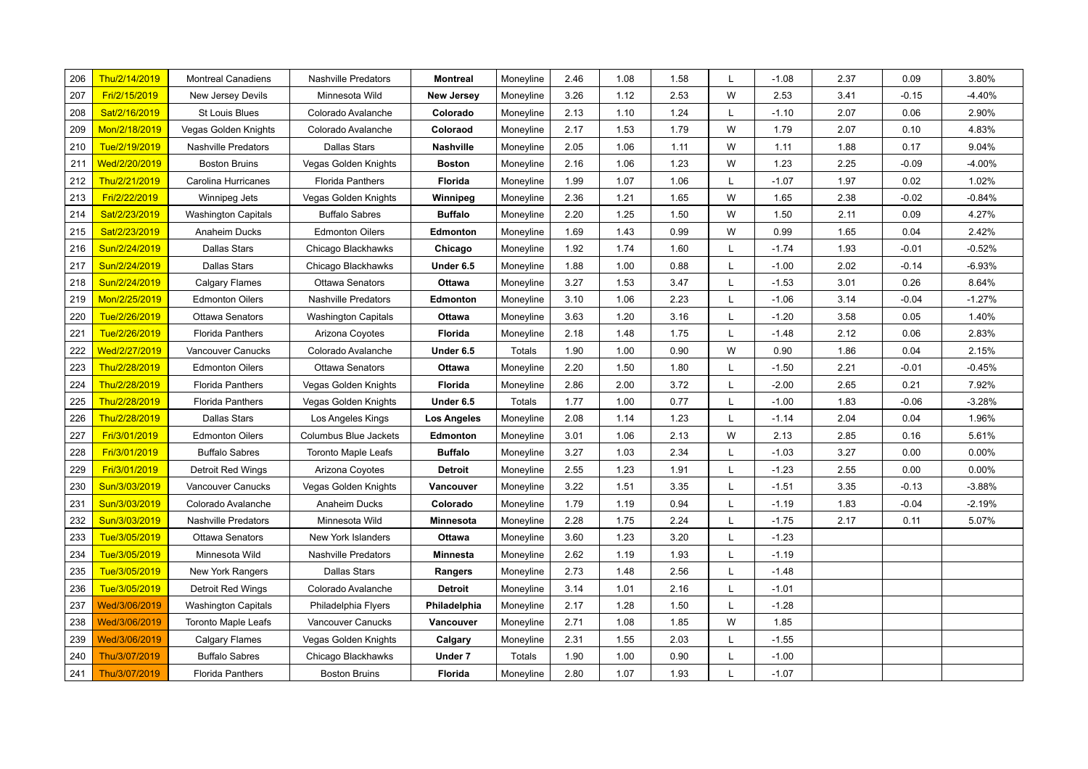| 206 | Thu/2/14/2019 | <b>Montreal Canadiens</b>  | <b>Nashville Predators</b> | <b>Montreal</b>  | Moneyline | 2.46 | 1.08 | 1.58 | L | $-1.08$ | 2.37 | 0.09    | 3.80%    |
|-----|---------------|----------------------------|----------------------------|------------------|-----------|------|------|------|---|---------|------|---------|----------|
| 207 | Fri/2/15/2019 | New Jersey Devils          | Minnesota Wild             | New Jersey       | Moneyline | 3.26 | 1.12 | 2.53 | W | 2.53    | 3.41 | $-0.15$ | $-4.40%$ |
| 208 | Sat/2/16/2019 | <b>St Louis Blues</b>      | Colorado Avalanche         | Colorado         | Moneyline | 2.13 | 1.10 | 1.24 | L | $-1.10$ | 2.07 | 0.06    | 2.90%    |
| 209 | Mon/2/18/2019 | Vegas Golden Knights       | Colorado Avalanche         | Coloraod         | Moneyline | 2.17 | 1.53 | 1.79 | W | 1.79    | 2.07 | 0.10    | 4.83%    |
| 210 | Tue/2/19/2019 | Nashville Predators        | Dallas Stars               | <b>Nashville</b> | Moneyline | 2.05 | 1.06 | 1.11 | W | 1.11    | 1.88 | 0.17    | 9.04%    |
| 211 | Wed/2/20/2019 | <b>Boston Bruins</b>       | Vegas Golden Knights       | Boston           | Moneyline | 2.16 | 1.06 | 1.23 | W | 1.23    | 2.25 | $-0.09$ | $-4.00%$ |
| 212 | Thu/2/21/2019 | Carolina Hurricanes        | <b>Florida Panthers</b>    | Florida          | Moneyline | 1.99 | 1.07 | 1.06 | L | $-1.07$ | 1.97 | 0.02    | 1.02%    |
| 213 | Fri/2/22/2019 | Winnipeg Jets              | Vegas Golden Knights       | Winnipeg         | Moneyline | 2.36 | 1.21 | 1.65 | W | 1.65    | 2.38 | $-0.02$ | $-0.84%$ |
| 214 | Sat/2/23/2019 | <b>Washington Capitals</b> | <b>Buffalo Sabres</b>      | <b>Buffalo</b>   | Moneyline | 2.20 | 1.25 | 1.50 | W | 1.50    | 2.11 | 0.09    | 4.27%    |
| 215 | Sat/2/23/2019 | Anaheim Ducks              | <b>Edmonton Oilers</b>     | <b>Edmonton</b>  | Moneyline | 1.69 | 1.43 | 0.99 | W | 0.99    | 1.65 | 0.04    | 2.42%    |
| 216 | Sun/2/24/2019 | Dallas Stars               | Chicago Blackhawks         | Chicago          | Moneyline | 1.92 | 1.74 | 1.60 | L | $-1.74$ | 1.93 | $-0.01$ | $-0.52%$ |
| 217 | Sun/2/24/2019 | <b>Dallas Stars</b>        | Chicago Blackhawks         | Under 6.5        | Moneyline | 1.88 | 1.00 | 0.88 | L | $-1.00$ | 2.02 | $-0.14$ | $-6.93%$ |
| 218 | Sun/2/24/2019 | Calgary Flames             | <b>Ottawa Senators</b>     | Ottawa           | Moneyline | 3.27 | 1.53 | 3.47 | L | $-1.53$ | 3.01 | 0.26    | 8.64%    |
| 219 | Mon/2/25/2019 | <b>Edmonton Oilers</b>     | <b>Nashville Predators</b> | Edmonton         | Moneyline | 3.10 | 1.06 | 2.23 | L | $-1.06$ | 3.14 | $-0.04$ | $-1.27%$ |
| 220 | Tue/2/26/2019 | Ottawa Senators            | <b>Washington Capitals</b> | Ottawa           | Moneyline | 3.63 | 1.20 | 3.16 | L | $-1.20$ | 3.58 | 0.05    | 1.40%    |
| 221 | Tue/2/26/2019 | Florida Panthers           | Arizona Coyotes            | Florida          | Moneyline | 2.18 | 1.48 | 1.75 | L | $-1.48$ | 2.12 | 0.06    | 2.83%    |
| 222 | Wed/2/27/2019 | Vancouver Canucks          | Colorado Avalanche         | Under 6.5        | Totals    | 1.90 | 1.00 | 0.90 | W | 0.90    | 1.86 | 0.04    | 2.15%    |
| 223 | Thu/2/28/2019 | <b>Edmonton Oilers</b>     | <b>Ottawa Senators</b>     | Ottawa           | Moneyline | 2.20 | 1.50 | 1.80 | L | $-1.50$ | 2.21 | $-0.01$ | $-0.45%$ |
| 224 | Thu/2/28/2019 | <b>Florida Panthers</b>    | Vegas Golden Knights       | Florida          | Moneyline | 2.86 | 2.00 | 3.72 | L | $-2.00$ | 2.65 | 0.21    | 7.92%    |
| 225 | Thu/2/28/2019 | <b>Florida Panthers</b>    | Vegas Golden Knights       | Under 6.5        | Totals    | 1.77 | 1.00 | 0.77 | L | $-1.00$ | 1.83 | $-0.06$ | $-3.28%$ |
| 226 | Thu/2/28/2019 | <b>Dallas Stars</b>        | Los Angeles Kings          | Los Angeles      | Moneyline | 2.08 | 1.14 | 1.23 | L | $-1.14$ | 2.04 | 0.04    | 1.96%    |
| 227 | Fri/3/01/2019 | <b>Edmonton Oilers</b>     | Columbus Blue Jackets      | Edmonton         | Moneyline | 3.01 | 1.06 | 2.13 | W | 2.13    | 2.85 | 0.16    | 5.61%    |
| 228 | Fri/3/01/2019 | <b>Buffalo Sabres</b>      | <b>Toronto Maple Leafs</b> | <b>Buffalo</b>   | Moneyline | 3.27 | 1.03 | 2.34 | L | $-1.03$ | 3.27 | 0.00    | 0.00%    |
| 229 | Fri/3/01/2019 | <b>Detroit Red Wings</b>   | Arizona Coyotes            | Detroit          | Moneyline | 2.55 | 1.23 | 1.91 | L | $-1.23$ | 2.55 | 0.00    | 0.00%    |
| 230 | Sun/3/03/2019 | Vancouver Canucks          | Vegas Golden Knights       | Vancouver        | Moneyline | 3.22 | 1.51 | 3.35 | L | $-1.51$ | 3.35 | $-0.13$ | $-3.88%$ |
| 231 | Sun/3/03/2019 | Colorado Avalanche         | Anaheim Ducks              | Colorado         | Moneyline | 1.79 | 1.19 | 0.94 | L | $-1.19$ | 1.83 | $-0.04$ | $-2.19%$ |
| 232 | Sun/3/03/2019 | <b>Nashville Predators</b> | Minnesota Wild             | Minnesota        | Moneyline | 2.28 | 1.75 | 2.24 | L | $-1.75$ | 2.17 | 0.11    | 5.07%    |
| 233 | Tue/3/05/2019 | <b>Ottawa Senators</b>     | New York Islanders         | Ottawa           | Moneyline | 3.60 | 1.23 | 3.20 | L | $-1.23$ |      |         |          |
| 234 | Tue/3/05/2019 | Minnesota Wild             | Nashville Predators        | Minnesta         | Moneyline | 2.62 | 1.19 | 1.93 | L | $-1.19$ |      |         |          |
| 235 | Tue/3/05/2019 | New York Rangers           | <b>Dallas Stars</b>        | <b>Rangers</b>   | Moneyline | 2.73 | 1.48 | 2.56 | L | $-1.48$ |      |         |          |
| 236 | Tue/3/05/2019 | <b>Detroit Red Wings</b>   | Colorado Avalanche         | Detroit          | Moneyline | 3.14 | 1.01 | 2.16 | L | $-1.01$ |      |         |          |
| 237 | Wed/3/06/2019 | <b>Washington Capitals</b> | Philadelphia Flyers        | Philadelphia     | Moneyline | 2.17 | 1.28 | 1.50 | L | $-1.28$ |      |         |          |
| 238 | Wed/3/06/2019 | <b>Toronto Maple Leafs</b> | Vancouver Canucks          | Vancouver        | Moneyline | 2.71 | 1.08 | 1.85 | W | 1.85    |      |         |          |
| 239 | Wed/3/06/2019 | <b>Calgary Flames</b>      | Vegas Golden Knights       | Calgary          | Moneyline | 2.31 | 1.55 | 2.03 | L | $-1.55$ |      |         |          |
| 240 | Thu/3/07/2019 | <b>Buffalo Sabres</b>      | Chicago Blackhawks         | Under 7          | Totals    | 1.90 | 1.00 | 0.90 | L | $-1.00$ |      |         |          |
| 241 | Thu/3/07/2019 | <b>Florida Panthers</b>    | <b>Boston Bruins</b>       | <b>Florida</b>   | Moneyline | 2.80 | 1.07 | 1.93 | L | $-1.07$ |      |         |          |